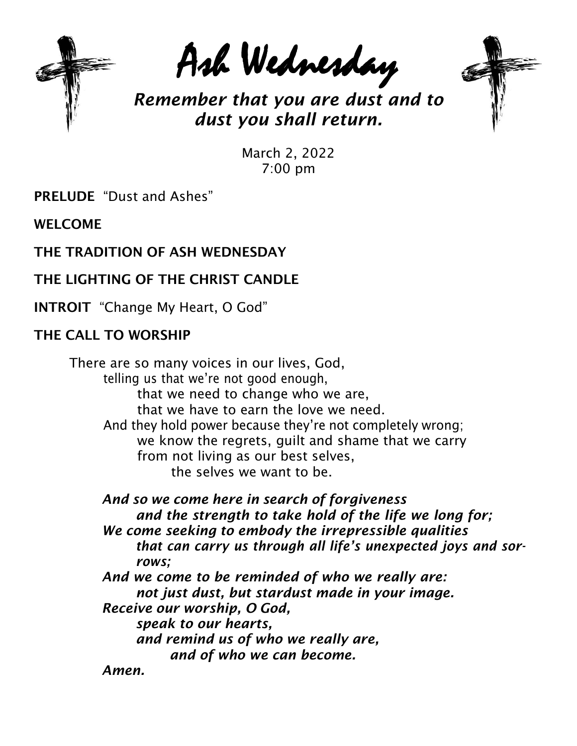

Ash Wednesday



*Remember that you are dust and to dust you shall return.*

> March 2, 2022 7:00 pm

PRELUDE "Dust and Ashes"

WELCOME

THE TRADITION OF ASH WEDNESDAY

# THE LIGHTING OF THE CHRIST CANDLE

INTROIT "Change My Heart, O God"

# THE CALL TO WORSHIP

There are so many voices in our lives, God, telling us that we're not good enough, that we need to change who we are, that we have to earn the love we need. And they hold power because they're not completely wrong; we know the regrets, guilt and shame that we carry from not living as our best selves, the selves we want to be.

*And so we come here in search of forgiveness and the strength to take hold of the life we long for; We come seeking to embody the irrepressible qualities that can carry us through all life's unexpected joys and sorrows;*

*And we come to be reminded of who we really are: not just dust, but stardust made in your image. Receive our worship, O God,*

*speak to our hearts,*

*and remind us of who we really are,*

*and of who we can become.*

*Amen.*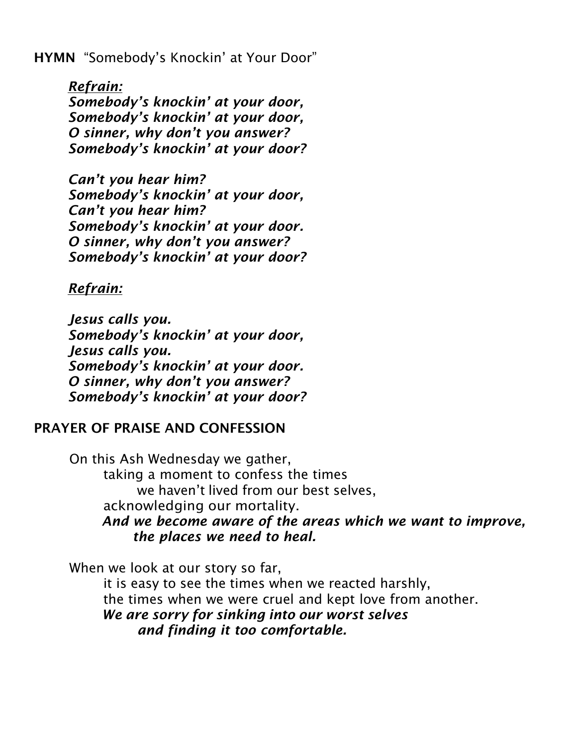HYMN "Somebody's Knockin' at Your Door"

*Refrain: Somebody's knockin' at your door, Somebody's knockin' at your door, O sinner, why don't you answer? Somebody's knockin' at your door?*

*Can't you hear him? Somebody's knockin' at your door, Can't you hear him? Somebody's knockin' at your door. O sinner, why don't you answer? Somebody's knockin' at your door?*

*Refrain:*

*Jesus calls you. Somebody's knockin' at your door, Jesus calls you. Somebody's knockin' at your door. O sinner, why don't you answer? Somebody's knockin' at your door?*

## PRAYER OF PRAISE AND CONFESSION

On this Ash Wednesday we gather, taking a moment to confess the times we haven't lived from our best selves, acknowledging our mortality. *And we become aware of the areas which we want to improve, the places we need to heal.*

When we look at our story so far,

it is easy to see the times when we reacted harshly, the times when we were cruel and kept love from another. *We are sorry for sinking into our worst selves and finding it too comfortable.*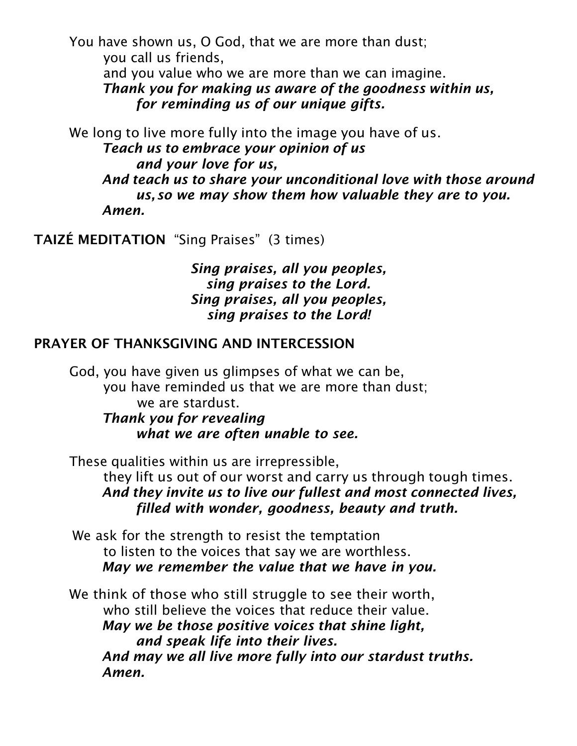You have shown us, O God, that we are more than dust; you call us friends,

and you value who we are more than we can imagine. *Thank you for making us aware of the goodness within us, for reminding us of our unique gifts.*

We long to live more fully into the image you have of us. *Teach us to embrace your opinion of us*

*and your love for us, And teach us to share your unconditional love with those around us, so we may show them how valuable they are to you. Amen.*

TAIZÉ MEDITATION "Sing Praises" (3 times)

*Sing praises, all you peoples, sing praises to the Lord. Sing praises, all you peoples, sing praises to the Lord!*

### PRAYER OF THANKSGIVING AND INTERCESSION

God, you have given us glimpses of what we can be, you have reminded us that we are more than dust; we are stardust.

## *Thank you for revealing what we are often unable to see.*

These qualities within us are irrepressible,

they lift us out of our worst and carry us through tough times. *And they invite us to live our fullest and most connected lives, filled with wonder, goodness, beauty and truth.*

We ask for the strength to resist the temptation to listen to the voices that say we are worthless. *May we remember the value that we have in you.*

We think of those who still struggle to see their worth, who still believe the voices that reduce their value. *May we be those positive voices that shine light, and speak life into their lives. And may we all live more fully into our stardust truths. Amen.*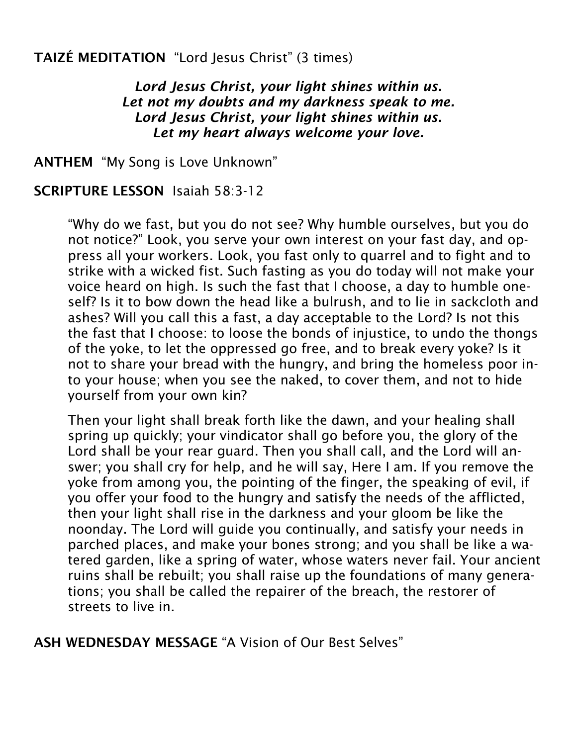# TAIZÉ MEDITATION "Lord Jesus Christ" (3 times)

## *Lord Jesus Christ, your light shines within us. Let not my doubts and my darkness speak to me. Lord Jesus Christ, your light shines within us. Let my heart always welcome your love.*

ANTHEM "My Song is Love Unknown"

## SCRIPTURE LESSON Isaiah 58:3-12

"Why do we fast, but you do not see? Why humble ourselves, but you do not notice?" Look, you serve your own interest on your fast day, and oppress all your workers. Look, you fast only to quarrel and to fight and to strike with a wicked fist. Such fasting as you do today will not make your voice heard on high. Is such the fast that I choose, a day to humble oneself? Is it to bow down the head like a bulrush, and to lie in sackcloth and ashes? Will you call this a fast, a day acceptable to the Lord? Is not this the fast that I choose: to loose the bonds of injustice, to undo the thongs of the yoke, to let the oppressed go free, and to break every yoke? Is it not to share your bread with the hungry, and bring the homeless poor into your house; when you see the naked, to cover them, and not to hide yourself from your own kin?

Then your light shall break forth like the dawn, and your healing shall spring up quickly; your vindicator shall go before you, the glory of the Lord shall be your rear guard. Then you shall call, and the Lord will answer; you shall cry for help, and he will say, Here I am. If you remove the yoke from among you, the pointing of the finger, the speaking of evil, if you offer your food to the hungry and satisfy the needs of the afflicted, then your light shall rise in the darkness and your gloom be like the noonday. The Lord will guide you continually, and satisfy your needs in parched places, and make your bones strong; and you shall be like a watered garden, like a spring of water, whose waters never fail. Your ancient ruins shall be rebuilt; you shall raise up the foundations of many generations; you shall be called the repairer of the breach, the restorer of streets to live in.

## ASH WEDNESDAY MESSAGE "A Vision of Our Best Selves"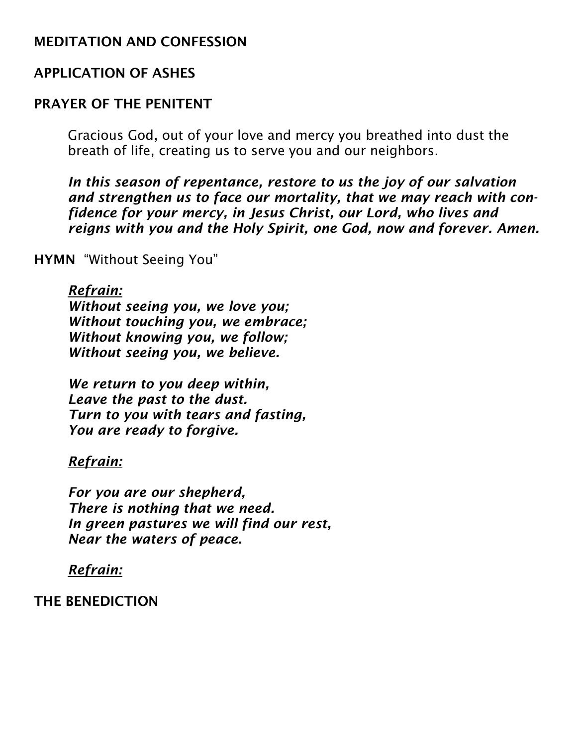## MEDITATION AND CONFESSION

## APPLICATION OF ASHES

### PRAYER OF THE PENITENT

Gracious God, out of your love and mercy you breathed into dust the breath of life, creating us to serve you and our neighbors.

*In this season of repentance, restore to us the joy of our salvation and strengthen us to face our mortality, that we may reach with confidence for your mercy, in Jesus Christ, our Lord, who lives and reigns with you and the Holy Spirit, one God, now and forever. Amen.*

HYMN "Without Seeing You"

*Refrain: Without seeing you, we love you; Without touching you, we embrace; Without knowing you, we follow; Without seeing you, we believe.*

*We return to you deep within, Leave the past to the dust. Turn to you with tears and fasting, You are ready to forgive.*

### *Refrain:*

*For you are our shepherd, There is nothing that we need. In green pastures we will find our rest, Near the waters of peace.*

*Refrain:*

THE BENEDICTION